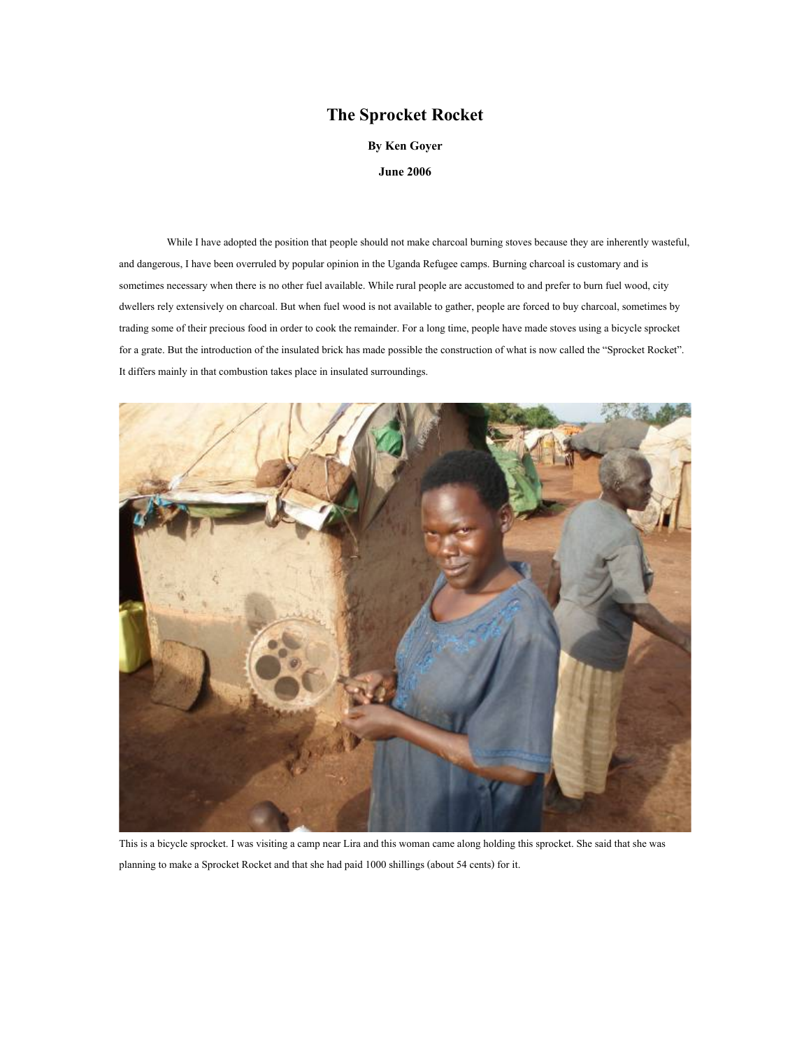## **The Sprocket Rocket**

**By Ken Goyer** 

**June 2006** 

While I have adopted the position that people should not make charcoal burning stoves because they are inherently wasteful, and dangerous, I have been overruled by popular opinion in the Uganda Refugee camps. Burning charcoal is customary and is sometimes necessary when there is no other fuel available. While rural people are accustomed to and prefer to burn fuel wood, city dwellers rely extensively on charcoal. But when fuel wood is not available to gather, people are forced to buy charcoal, sometimes by trading some of their precious food in order to cook the remainder. For a long time, people have made stoves using a bicycle sprocket for a grate. But the introduction of the insulated brick has made possible the construction of what is now called the "Sprocket Rocket". It differs mainly in that combustion takes place in insulated surroundings.



This is a bicycle sprocket. I was visiting a camp near Lira and this woman came along holding this sprocket. She said that she was planning to make a Sprocket Rocket and that she had paid 1000 shillings (about 54 cents) for it.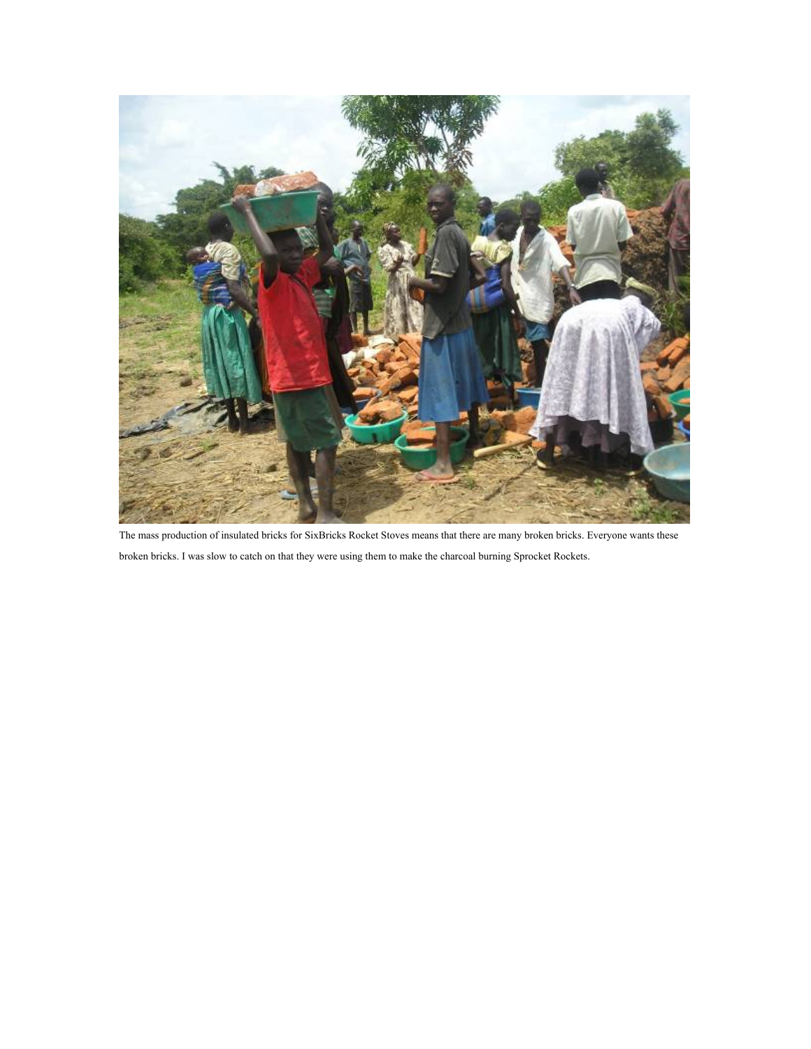

The mass production of insulated bricks for SixBricks Rocket Stoves means that there are many broken bricks. Everyone wants these broken bricks. I was slow to catch on that they were using them to make the charcoal burning Sprocket Rockets.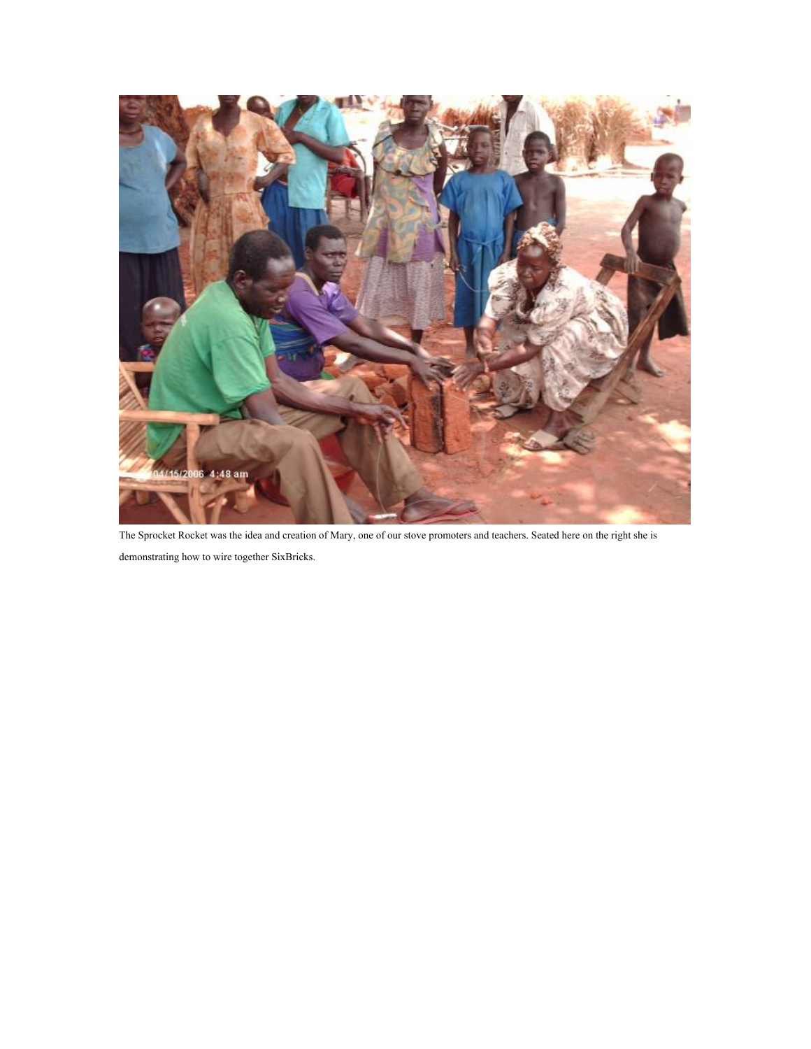

The Sprocket Rocket was the idea and creation of Mary, one of our stove promoters and teachers. Seated here on the right she is demonstrating how to wire together SixBricks.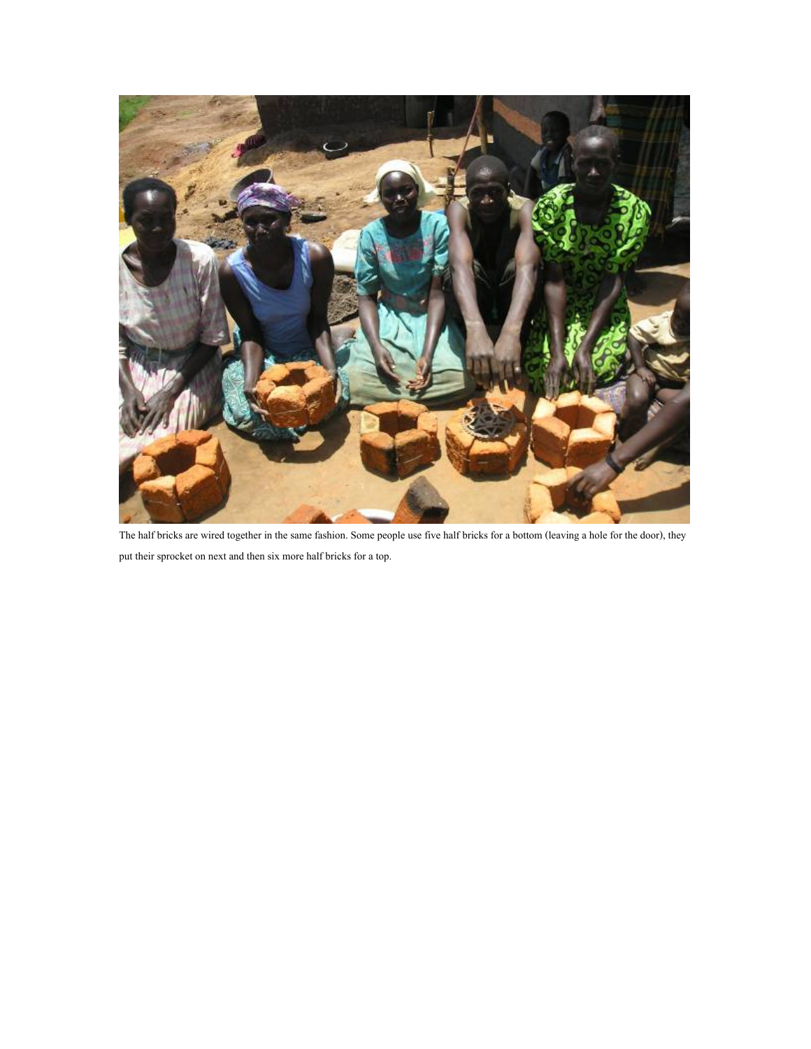

The half bricks are wired together in the same fashion. Some people use five half bricks for a bottom (leaving a hole for the door), they put their sprocket on next and then six more half bricks for a top.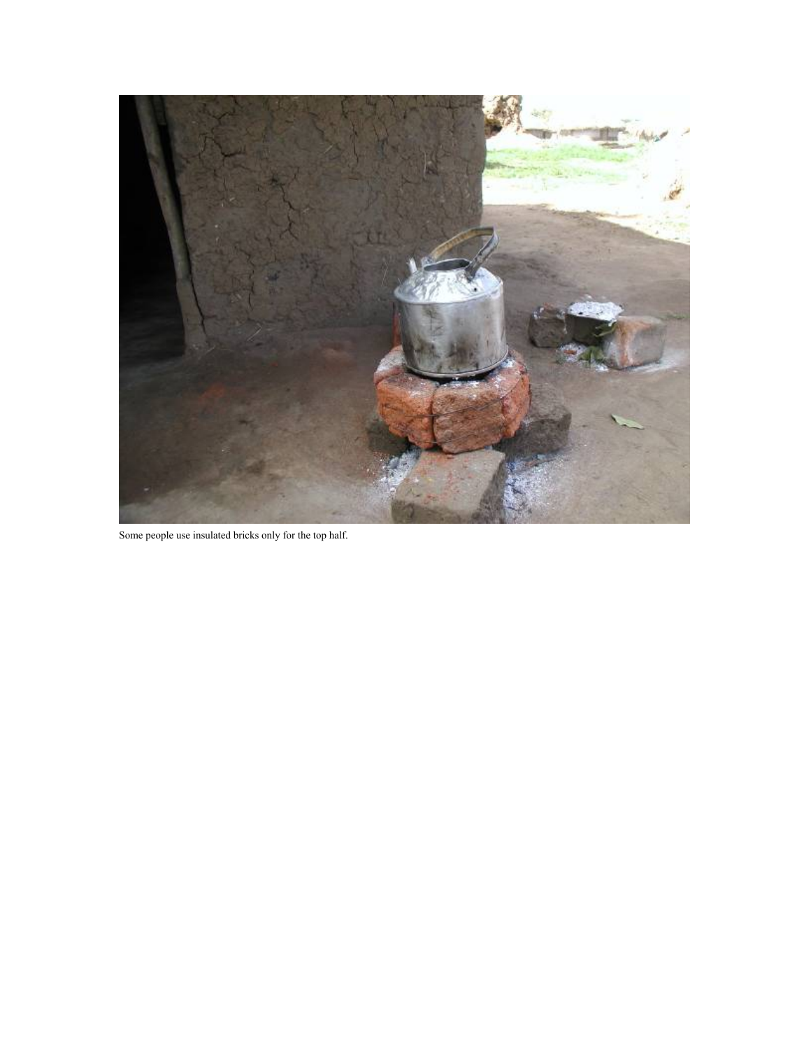

Some people use insulated bricks only for the top half.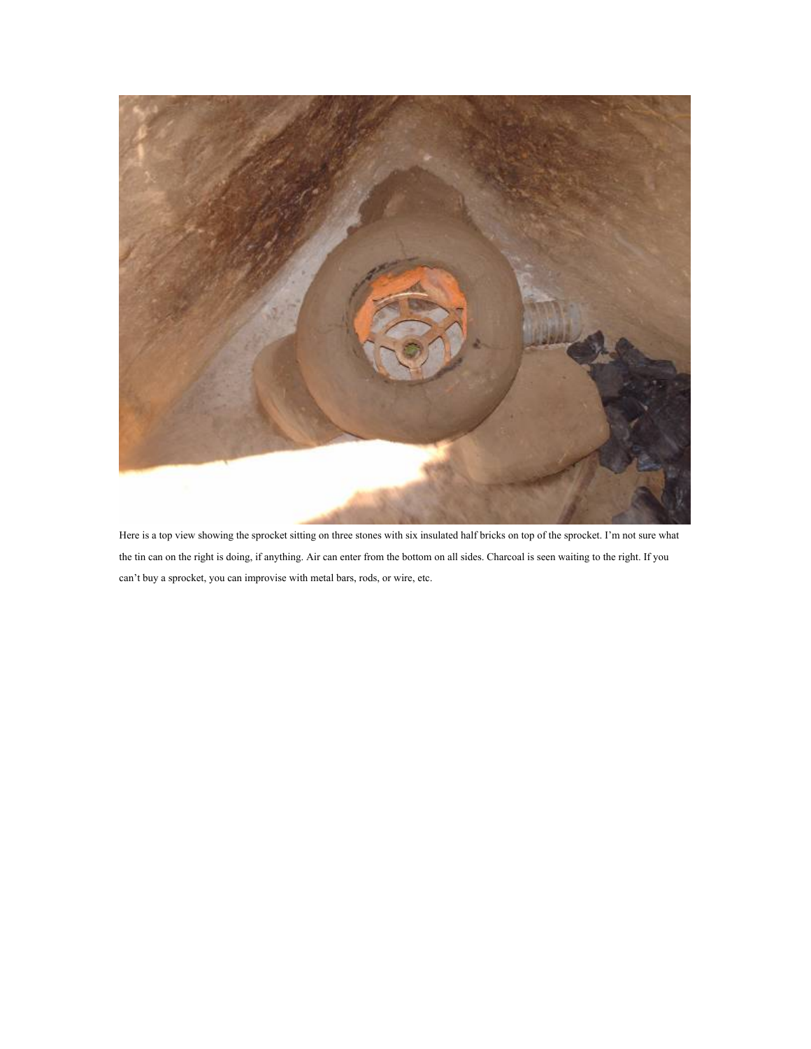

 Here is a top view showing the sprocket sitting on three stones with six insulated half bricks on top of the sprocket. I'm not sure what the tin can on the right is doing, if anything. Air can enter from the bottom on all sides. Charcoal is seen waiting to the right. If you can't buy a sprocket, you can improvise with metal bars, rods, or wire, etc.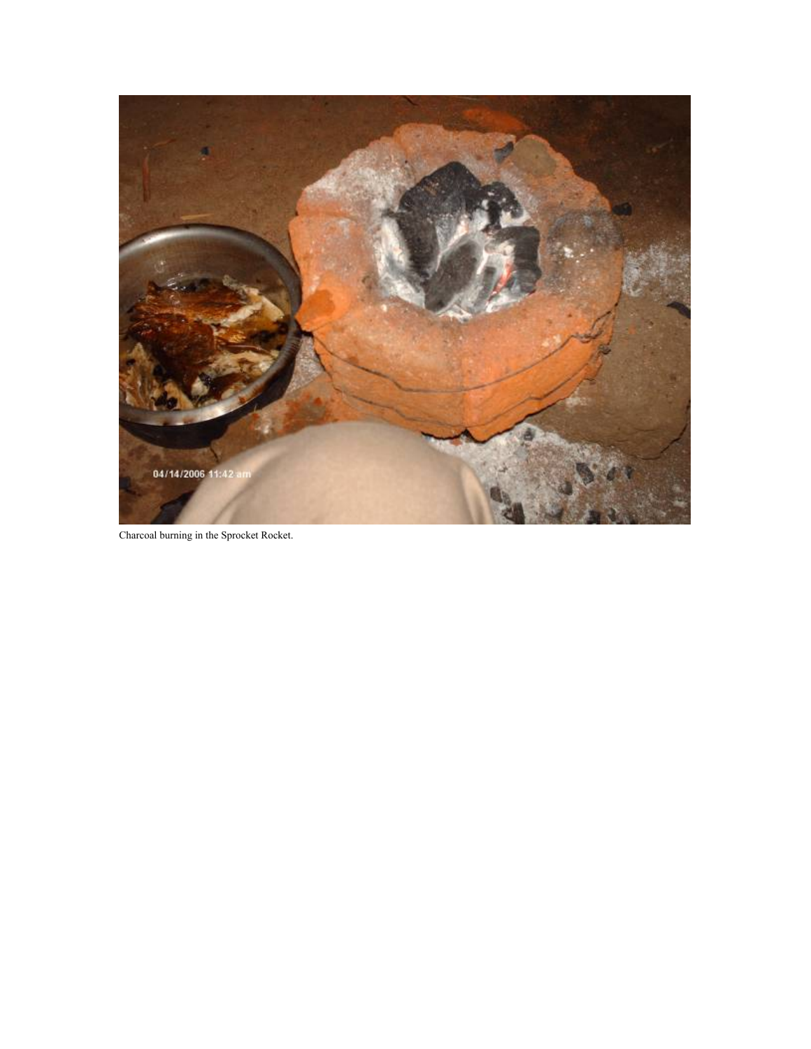

Charcoal burning in the Sprocket Rocket.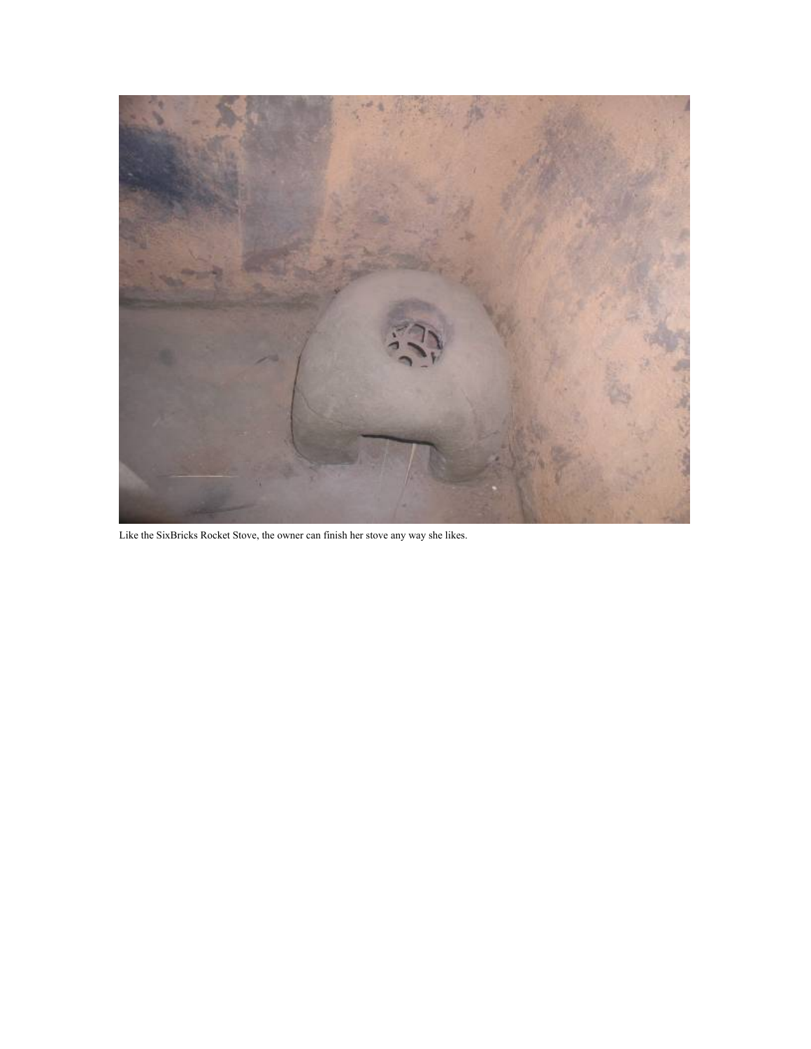

Like the SixBricks Rocket Stove, the owner can finish her stove any way she likes.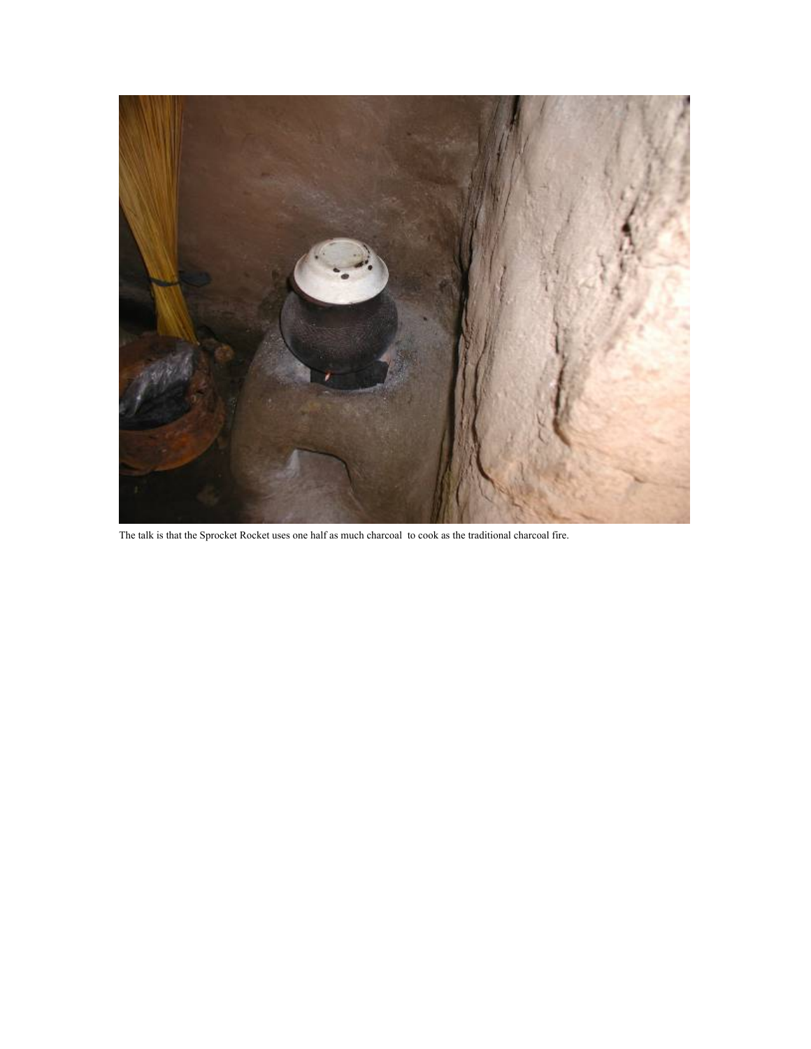

The talk is that the Sprocket Rocket uses one half as much charcoal to cook as the traditional charcoal fire.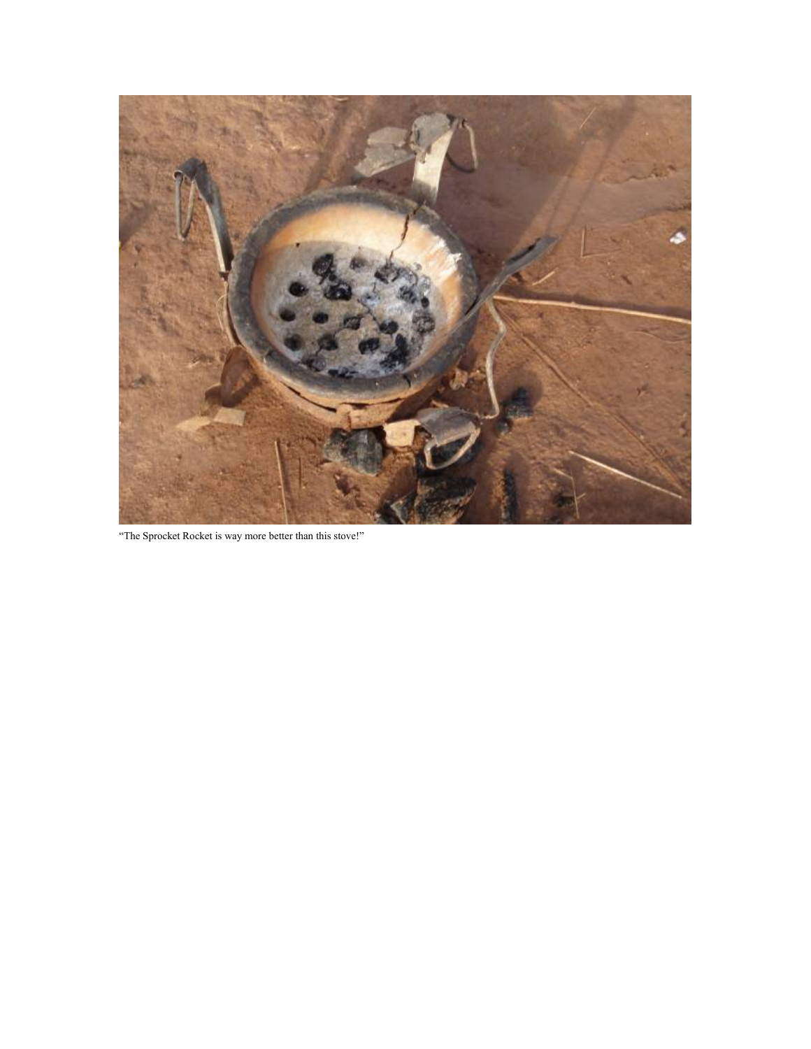

"The Sprocket Rocket is way more better than this stove!"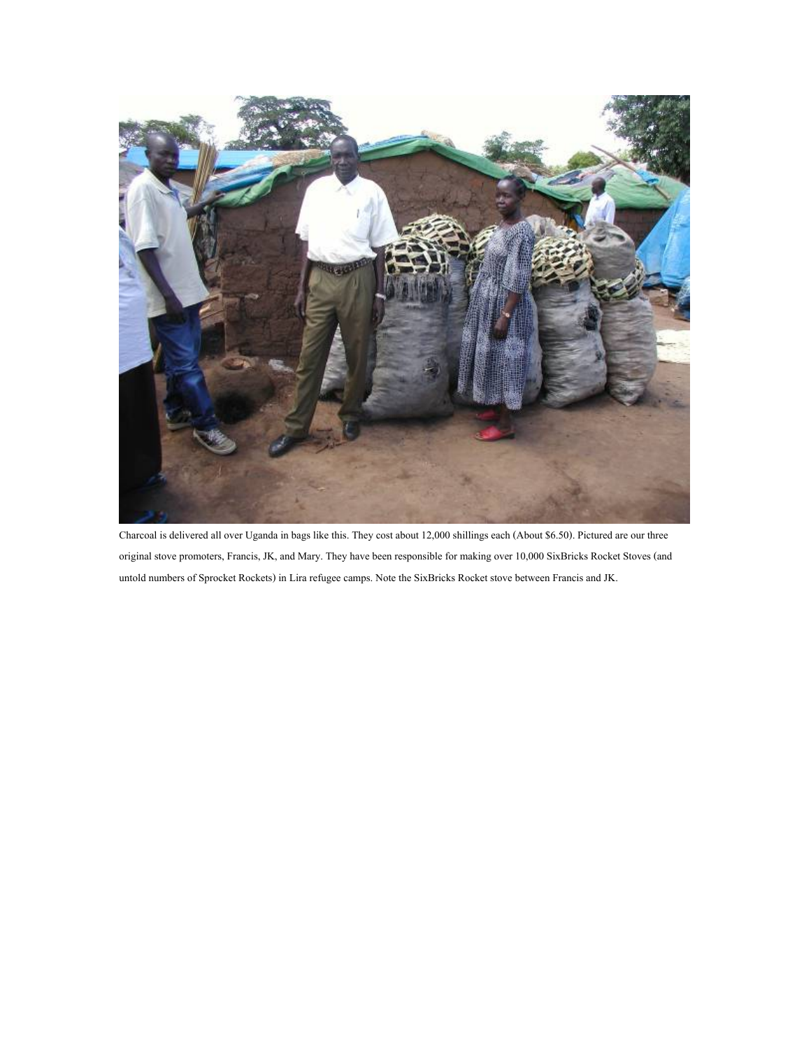

Charcoal is delivered all over Uganda in bags like this. They cost about 12,000 shillings each (About \$6.50). Pictured are our three original stove promoters, Francis, JK, and Mary. They have been responsible for making over 10,000 SixBricks Rocket Stoves (and untold numbers of Sprocket Rockets) in Lira refugee camps. Note the SixBricks Rocket stove between Francis and JK.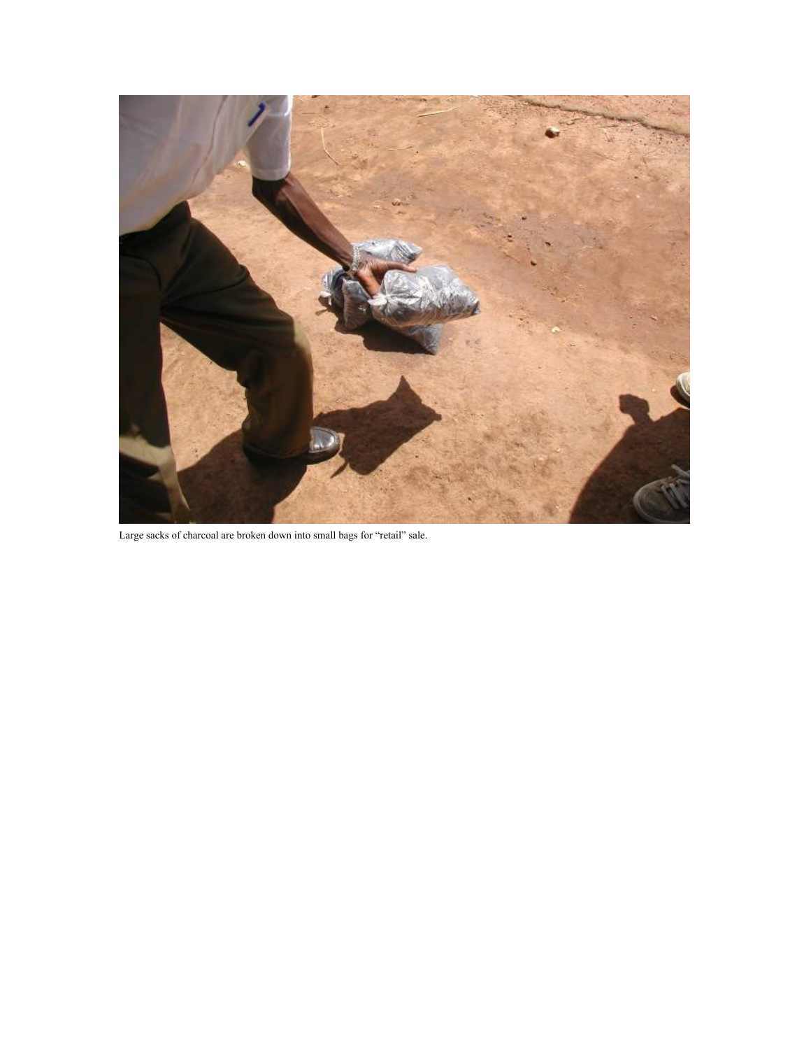

Large sacks of charcoal are broken down into small bags for "retail" sale.